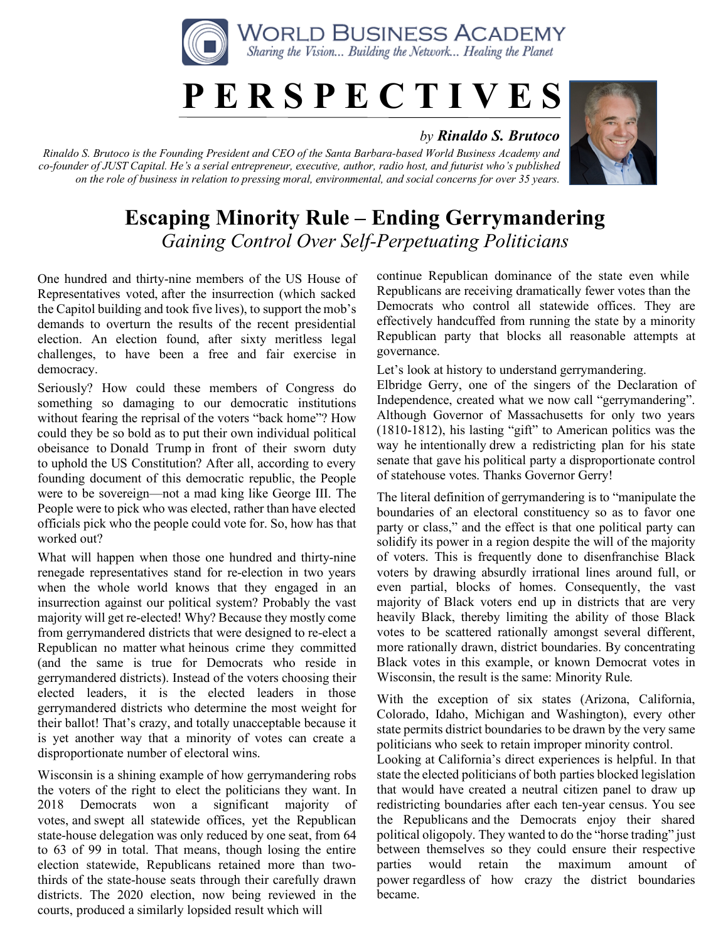

## **P E R S P E C T I V E S**

## *by Rinaldo S. Brutoco*

*Rinaldo S. Brutoco is the Founding President and CEO of the Santa Barbara-based World Business Academy and co-founder of JUST Capital. He's a serial entrepreneur, executive, author, radio host, and futurist who's published on the role of business in relation to pressing moral, environmental, and social concerns for over 35 years.*



## **Escaping Minority Rule – Ending Gerrymandering** *Gaining Control Over Self-Perpetuating Politicians*

One hundred and thirty-nine members of the US House of Representatives voted, after the insurrection (which sacked the Capitol building and took five lives), to support the mob's demands to overturn the results of the recent presidential election. An election found, after sixty meritless legal challenges, to have been a free and fair exercise in democracy.

Seriously? How could these members of Congress do something so damaging to our democratic institutions without fearing the reprisal of the voters "back home"? How could they be so bold as to put their own individual political obeisance to Donald Trump in front of their sworn duty to uphold the US Constitution? After all, according to every founding document of this democratic republic, the People were to be sovereign—not a mad king like George III. The People were to pick who was elected, rather than have elected officials pick who the people could vote for. So, how has that worked out?

What will happen when those one hundred and thirty-nine renegade representatives stand for re-election in two years when the whole world knows that they engaged in an insurrection against our political system? Probably the vast majority will get re-elected! Why? Because they mostly come from gerrymandered districts that were designed to re-elect a Republican no matter what heinous crime they committed (and the same is true for Democrats who reside in gerrymandered districts). Instead of the voters choosing their elected leaders, it is the elected leaders in those gerrymandered districts who determine the most weight for their ballot! That's crazy, and totally unacceptable because it is yet another way that a minority of votes can create a disproportionate number of electoral wins.

Wisconsin is a shining example of how gerrymandering robs the voters of the right to elect the politicians they want. In 2018 Democrats won a significant majority of votes, and swept all statewide offices, yet the Republican state-house delegation was only reduced by one seat, from 64 to 63 of 99 in total. That means, though losing the entire election statewide, Republicans retained more than twothirds of the state-house seats through their carefully drawn districts. The 2020 election, now being reviewed in the courts, produced a similarly lopsided result which will

continue Republican dominance of the state even while Republicans are receiving dramatically fewer votes than the Democrats who control all statewide offices. They are effectively handcuffed from running the state by a minority Republican party that blocks all reasonable attempts at governance.

Let's look at history to understand gerrymandering.

Elbridge Gerry, one of the singers of the Declaration of Independence, created what we now call "gerrymandering". Although Governor of Massachusetts for only two years (1810-1812), his lasting "gift" to American politics was the way he intentionally drew a redistricting plan for his state senate that gave his political party a disproportionate control of statehouse votes. Thanks Governor Gerry!

The literal definition of gerrymandering is to "manipulate the boundaries of an electoral constituency so as to favor one party or class," and the effect is that one political party can solidify its power in a region despite the will of the majority of voters. This is frequently done to disenfranchise Black voters by drawing absurdly irrational lines around full, or even partial, blocks of homes. Consequently, the vast majority of Black voters end up in districts that are very heavily Black, thereby limiting the ability of those Black votes to be scattered rationally amongst several different, more rationally drawn, district boundaries. By concentrating Black votes in this example, or known Democrat votes in Wisconsin, the result is the same: Minority Rule.

With the exception of six states (Arizona, California, Colorado, Idaho, Michigan and Washington), every other state permits district boundaries to be drawn by the very same politicians who seek to retain improper minority control.

Looking at California's direct experiences is helpful. In that state the elected politicians of both parties blocked legislation that would have created a neutral citizen panel to draw up redistricting boundaries after each ten-year census. You see the Republicans and the Democrats enjoy their shared political oligopoly. They wanted to do the "horse trading" just between themselves so they could ensure their respective parties would retain the maximum amount of power regardless of how crazy the district boundaries became.